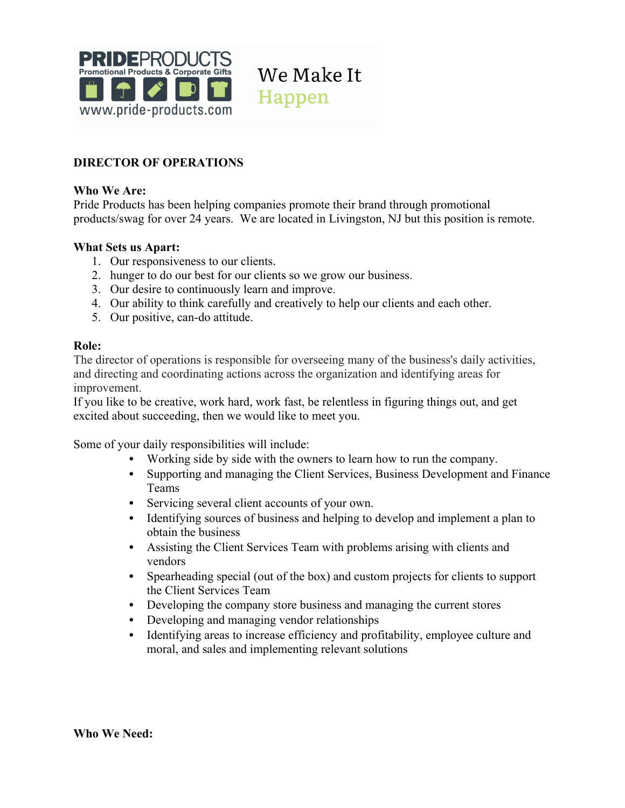

We Make It Happen

# **DIRECTOR OF OPERATIONS**

### **Who We Are:**

Pride Products has been helping companies promote their brand through promotional products/swag for over 24 years. We are located in Livingston, NJ but this position is remote.

#### **What Sets us Apart:**

- 1. Our responsiveness to our clients.
- 2. hunger to do our best for our clients so we grow our business.
- 3. Our desire to continuously learn and improve.
- 4. Our ability to think carefully and creatively to help our clients and each other.
- 5. Our positive, can-do attitude.

#### **Role:**

The director of operations is responsible for overseeing many of the business's daily activities, and directing and coordinating actions across the organization and identifying areas for improvement.

If you like to be creative, work hard, work fast, be relentless in figuring things out, and get excited about succeeding, then we would like to meet you.

Some of your daily responsibilities will include:

- Working side by side with the owners to learn how to run the company.
- Supporting and managing the Client Services, Business Development and Finance Teams
- Servicing several client accounts of your own.
- Identifying sources of business and helping to develop and implement a plan to obtain the business
- Assisting the Client Services Team with problems arising with clients and vendors
- Spearheading special (out of the box) and custom projects for clients to support the Client Services Team
- Developing the company store business and managing the current stores
- Developing and managing vendor relationships
- Identifying areas to increase efficiency and profitability, employee culture and moral, and sales and implementing relevant solutions